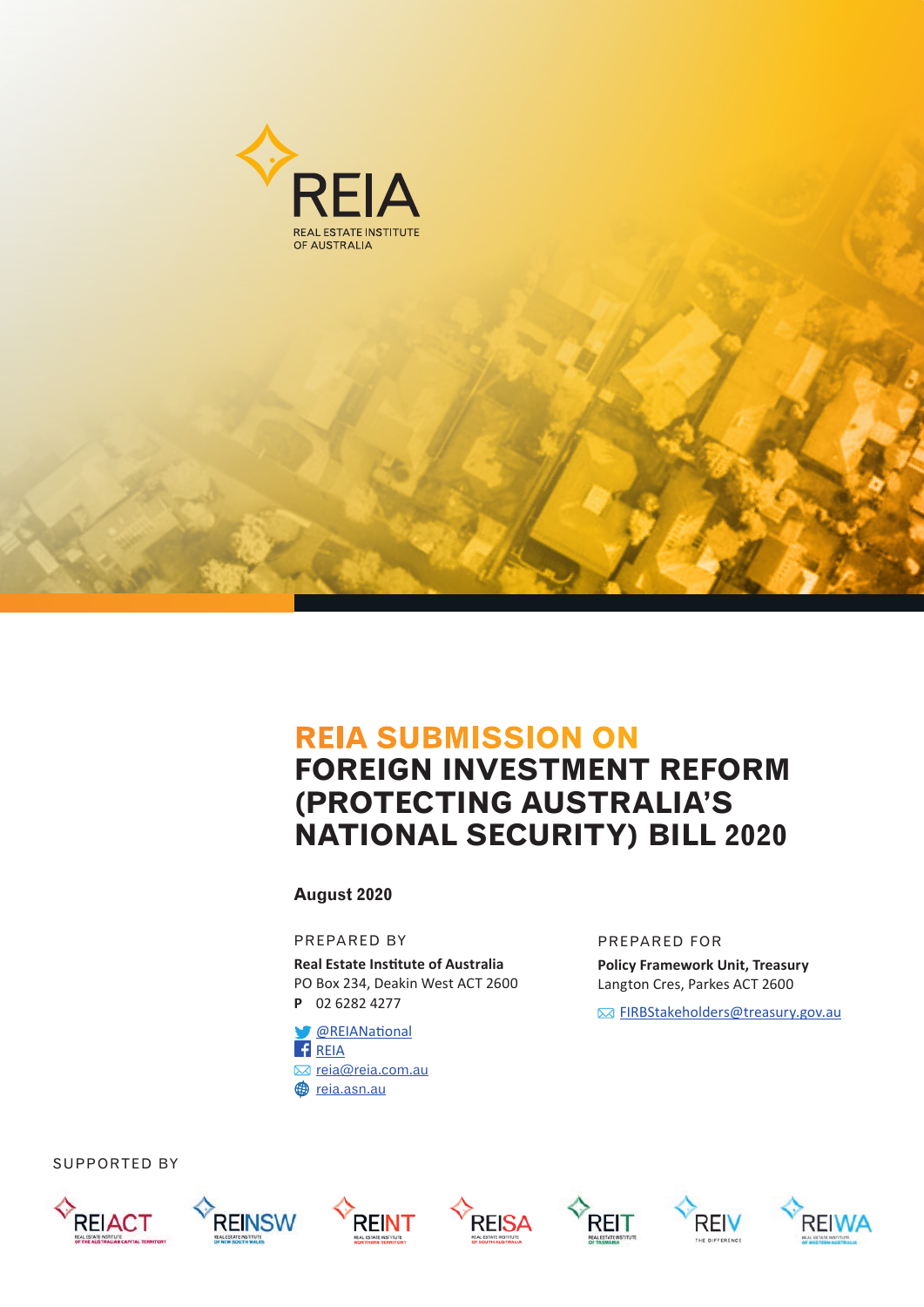

## **REIA SUBMISSION ON**

# **FOREIGN INVESTMENT REFORM (PROTECTING AUSTRALIA'S NATIONAL SECURITY) BILL 2020**

**August 2020**

PREPARED BY

**Real Estate Institute of Australia** PO Box 234, Deakin West ACT 2600 **P** 02 6282 4277

[@REIANational](https://twitter.com/REIANational) **[REIA](https://www.facebook.com/REIAustralia/) ⊠** reia@reia.com.au **@** [reia.asn.au](https://www.reia.asn.au)

#### PREPARED FOR

**Policy Framework Unit, Treasury**  Langton Cres, Parkes ACT 2600

**EIRBStakeholders@treasury.gov.au** 













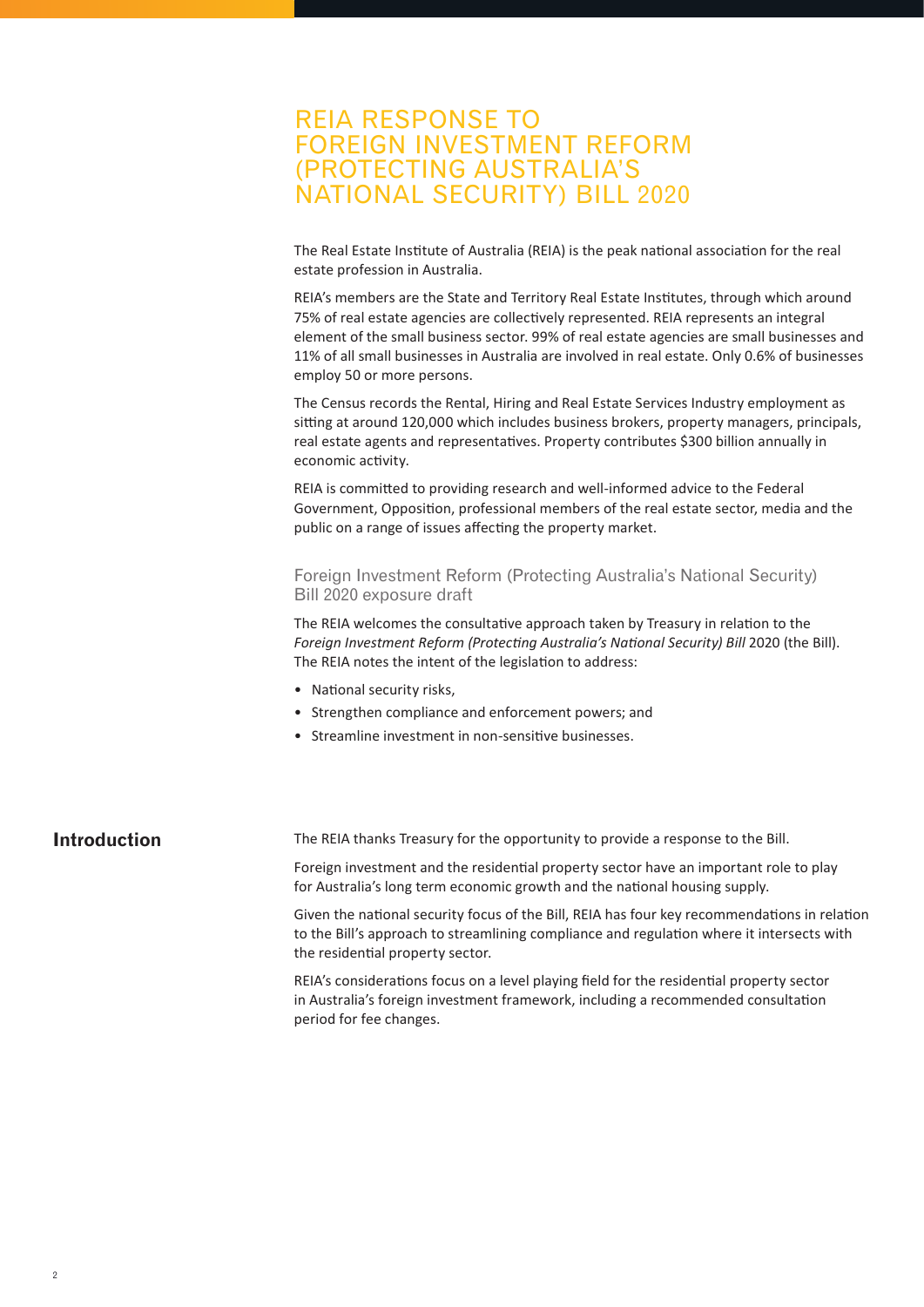## REIA RESPONSE TO FOREIGN INVESTMENT REFORM (PROTECTING AUSTRALIA'S NATIONAL SECURITY) BILL 2020

The Real Estate Institute of Australia (REIA) is the peak national association for the real estate profession in Australia.

REIA's members are the State and Territory Real Estate Institutes, through which around 75% of real estate agencies are collectively represented. REIA represents an integral element of the small business sector. 99% of real estate agencies are small businesses and 11% of all small businesses in Australia are involved in real estate. Only 0.6% of businesses employ 50 or more persons.

The Census records the Rental, Hiring and Real Estate Services Industry employment as sitting at around 120,000 which includes business brokers, property managers, principals, real estate agents and representatives. Property contributes \$300 billion annually in economic activity.

REIA is committed to providing research and well-informed advice to the Federal Government, Opposition, professional members of the real estate sector, media and the public on a range of issues affecting the property market.

Foreign Investment Reform (Protecting Australia's National Security) Bill 2020 exposure draft

The REIA welcomes the consultative approach taken by Treasury in relation to the *Foreign Investment Reform (Protecting Australia's National Security) Bill* 2020 (the Bill). The REIA notes the intent of the legislation to address:

- National security risks,
- Strengthen compliance and enforcement powers; and
- Streamline investment in non-sensitive businesses.

**Introduction** The REIA thanks Treasury for the opportunity to provide a response to the Bill.

Foreign investment and the residential property sector have an important role to play for Australia's long term economic growth and the national housing supply.

Given the national security focus of the Bill, REIA has four key recommendations in relation to the Bill's approach to streamlining compliance and regulation where it intersects with the residential property sector.

REIA's considerations focus on a level playing field for the residential property sector in Australia's foreign investment framework, including a recommended consultation period for fee changes.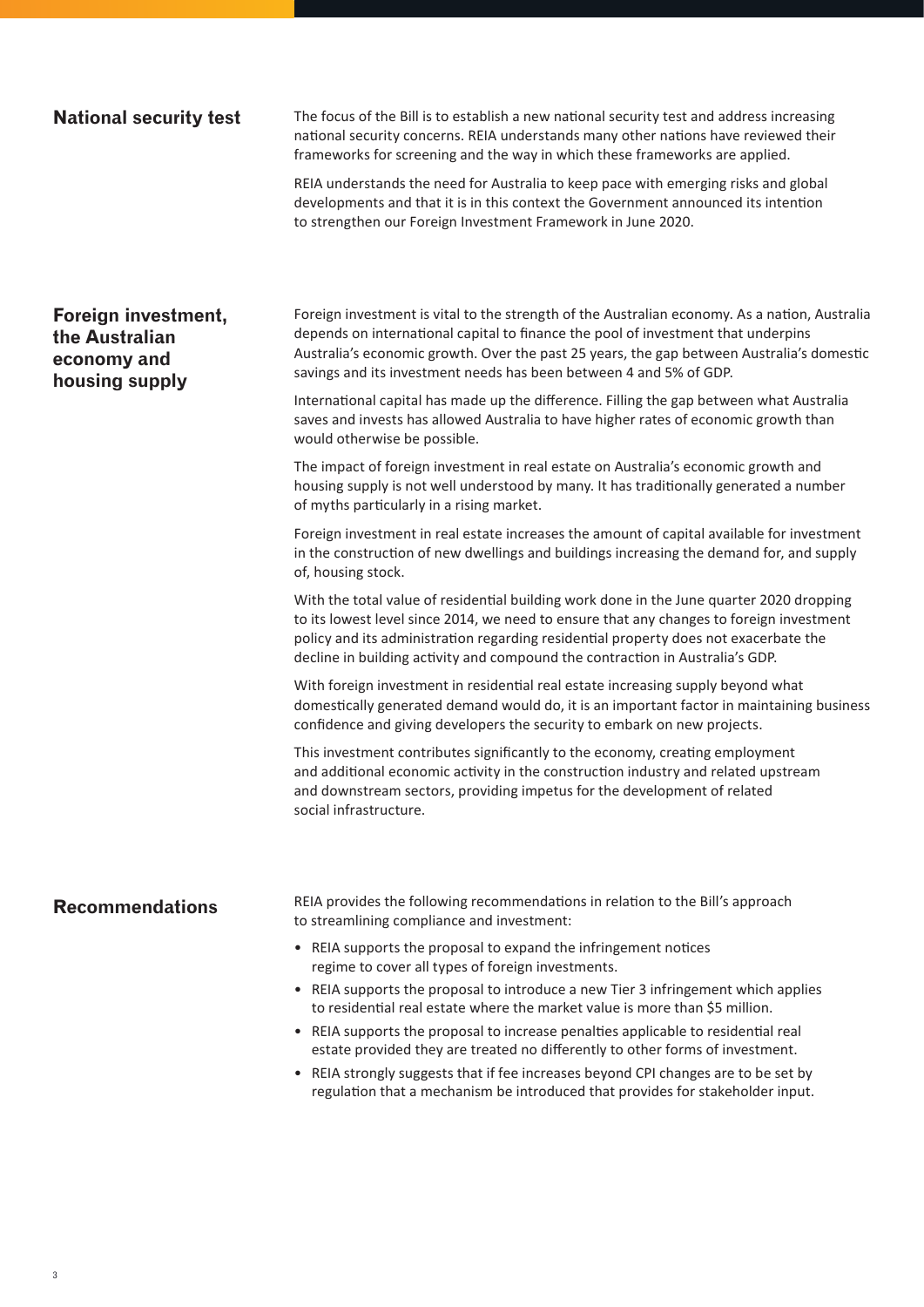**National security test** The focus of the Bill is to establish a new national security test and address increasing national security concerns. REIA understands many other nations have reviewed their frameworks for screening and the way in which these frameworks are applied.

> REIA understands the need for Australia to keep pace with emerging risks and global developments and that it is in this context the Government announced its intention to strengthen our Foreign Investment Framework in June 2020.

### **Foreign investment, the Australian economy and housing supply**

Foreign investment is vital to the strength of the Australian economy. As a nation, Australia depends on international capital to finance the pool of investment that underpins Australia's economic growth. Over the past 25 years, the gap between Australia's domestic savings and its investment needs has been between 4 and 5% of GDP.

International capital has made up the difference. Filling the gap between what Australia saves and invests has allowed Australia to have higher rates of economic growth than would otherwise be possible.

The impact of foreign investment in real estate on Australia's economic growth and housing supply is not well understood by many. It has traditionally generated a number of myths particularly in a rising market.

Foreign investment in real estate increases the amount of capital available for investment in the construction of new dwellings and buildings increasing the demand for, and supply of, housing stock.

With the total value of residential building work done in the June quarter 2020 dropping to its lowest level since 2014, we need to ensure that any changes to foreign investment policy and its administration regarding residential property does not exacerbate the decline in building activity and compound the contraction in Australia's GDP.

With foreign investment in residential real estate increasing supply beyond what domestically generated demand would do, it is an important factor in maintaining business confidence and giving developers the security to embark on new projects.

This investment contributes significantly to the economy, creating employment and additional economic activity in the construction industry and related upstream and downstream sectors, providing impetus for the development of related social infrastructure.

**Recommendations** REIA provides the following recommendations in relation to the Bill's approach to streamlining compliance and investment:

- REIA supports the proposal to expand the infringement notices regime to cover all types of foreign investments.
- REIA supports the proposal to introduce a new Tier 3 infringement which applies to residential real estate where the market value is more than \$5 million.
- REIA supports the proposal to increase penalties applicable to residential real estate provided they are treated no differently to other forms of investment.
- REIA strongly suggests that if fee increases beyond CPI changes are to be set by regulation that a mechanism be introduced that provides for stakeholder input.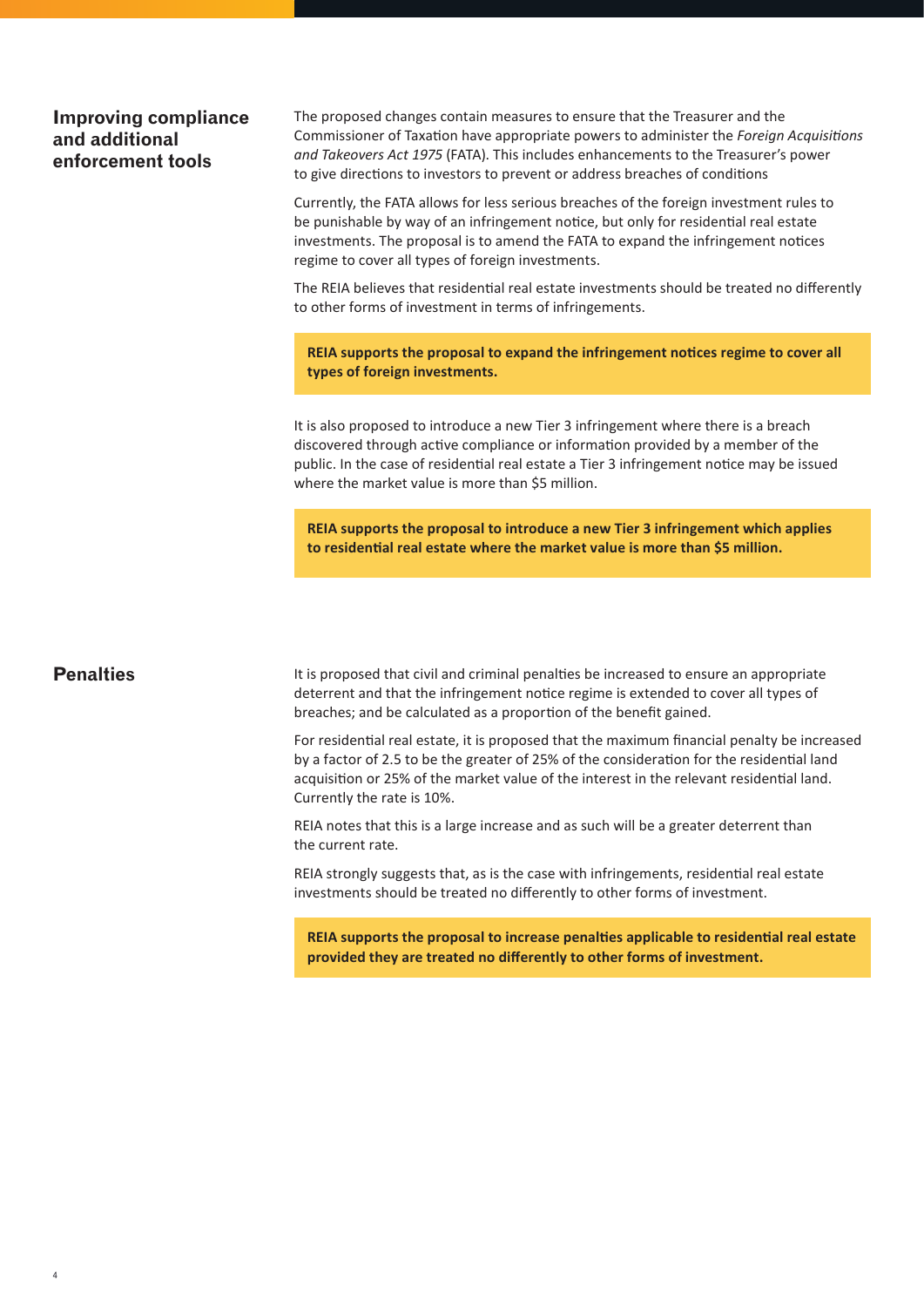### **Improving compliance and additional enforcement tools**

The proposed changes contain measures to ensure that the Treasurer and the Commissioner of Taxation have appropriate powers to administer the *Foreign Acquisitions and Takeovers Act 1975* (FATA). This includes enhancements to the Treasurer's power to give directions to investors to prevent or address breaches of conditions

Currently, the FATA allows for less serious breaches of the foreign investment rules to be punishable by way of an infringement notice, but only for residential real estate investments. The proposal is to amend the FATA to expand the infringement notices regime to cover all types of foreign investments.

The REIA believes that residential real estate investments should be treated no differently to other forms of investment in terms of infringements.

**REIA supports the proposal to expand the infringement notices regime to cover all types of foreign investments.** 

It is also proposed to introduce a new Tier 3 infringement where there is a breach discovered through active compliance or information provided by a member of the public. In the case of residential real estate a Tier 3 infringement notice may be issued where the market value is more than \$5 million.

**REIA supports the proposal to introduce a new Tier 3 infringement which applies to residential real estate where the market value is more than \$5 million.**

### **Penalties**

4

It is proposed that civil and criminal penalties be increased to ensure an appropriate deterrent and that the infringement notice regime is extended to cover all types of breaches; and be calculated as a proportion of the benefit gained.

For residential real estate, it is proposed that the maximum financial penalty be increased by a factor of 2.5 to be the greater of 25% of the consideration for the residential land acquisition or 25% of the market value of the interest in the relevant residential land. Currently the rate is 10%.

REIA notes that this is a large increase and as such will be a greater deterrent than the current rate.

REIA strongly suggests that, as is the case with infringements, residential real estate investments should be treated no differently to other forms of investment.

**REIA supports the proposal to increase penalties applicable to residential real estate provided they are treated no differently to other forms of investment.**